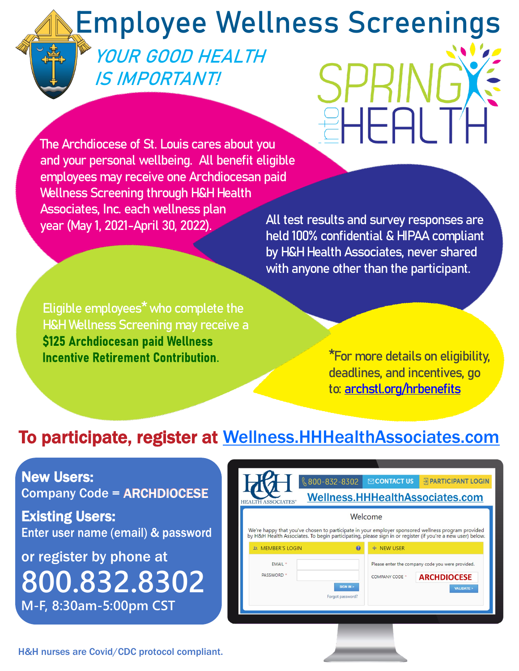# **Employee Wellness Screenings**

## **YOUR GOOD HEALTH IS IMPORTANT!**

**The Archdiocese of St. Louis cares about you and your personal wellbeing. All benefit eligible employees may receive one Archdiocesan paid Wellness Screening through H&H Health Associates, Inc. each wellness plan year (May 1, 2021-April 30, 2022).** 

**All test results and survey responses are held 100% confidential & HIPAA compliant by H&H Health Associates, never shared with anyone other than the participant.**

HEAL

**Eligible employees\* who complete the H&H Wellness Screening may receive a**  \$125 Archdiocesan paid Wellness **Incentive Retirement Contribution. .**

**\*For more details on eligibility, deadlines, and incentives, go to: [archstl.org/hrbenefits](https://www.archstl.org/human-resources/employee-benefits-and-forms/employee-wellness-programs)**

### To participate, register at [Wellness.HHHealthAssociates.com](https://wellness.hhhealthassociates.com/)

New Users: Company Code = ARCHDIOCESE

**Existing Users:**<br>Enter user name (email) & password

or register by phone at **800.832.8302 M-F, 8:30am-5:00pm CST**

| $\binom{6}{5}$ 800-832-8302                                                                                                                                                                                      | $\boxdot$ CONTACT US<br><b>S PARTICIPANT LOGIN</b>                                       |  |
|------------------------------------------------------------------------------------------------------------------------------------------------------------------------------------------------------------------|------------------------------------------------------------------------------------------|--|
| Wellness.HHHealthAssociates.com<br><b>HEALTH ASSOCIATES®</b>                                                                                                                                                     |                                                                                          |  |
| Welcome                                                                                                                                                                                                          |                                                                                          |  |
| We're happy that you've chosen to participate in your employer sponsored wellness program provided<br>by H&H Health Associates. To begin participating, please sign in or register (if you're a new user) below. |                                                                                          |  |
| @<br><b>28 MEMBER'S LOGIN</b>                                                                                                                                                                                    | + NEW USER                                                                               |  |
| EMAIL *<br><b>PASSWORD</b> *                                                                                                                                                                                     | Please enter the company code you were provided.<br><b>ARCHDIOCESE</b><br>COMPANY CODE * |  |
| SIGN IN ><br>Forgot password?                                                                                                                                                                                    | <b>VALIDATE &gt;</b>                                                                     |  |
|                                                                                                                                                                                                                  |                                                                                          |  |

H&H nurses are Covid/CDC protocol compliant.